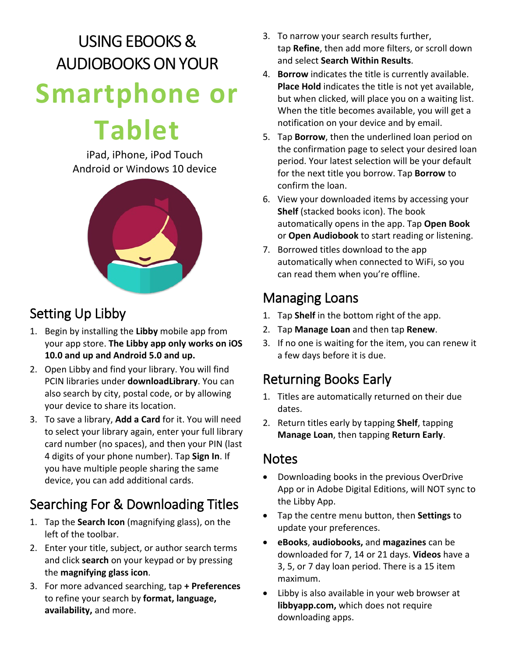## USING EBOOKS & AUDIOBOOKS ON YOUR **Smartphone or**

# **Tablet**

iPad, iPhone, iPod Touch Android or Windows 10 device



## Setting Up Libby

- 1. Begin by installing the **Libby** mobile app from your app store. **The Libby app only works on iOS 10.0 and up and Android 5.0 and up.**
- 2. Open Libby and find your library. You will find PCIN libraries under **downloadLibrary**. You can also search by city, postal code, or by allowing your device to share its location.
- 3. To save a library, **Add a Card** for it. You will need to select your library again, enter your full library card number (no spaces), and then your PIN (last 4 digits of your phone number). Tap **Sign In**. If you have multiple people sharing the same device, you can add additional cards.

## Searching For & Downloading Titles

- 1. Tap the **Search Icon** (magnifying glass), on the left of the toolbar.
- 2. Enter your title, subject, or author search terms and click **search** on your keypad or by pressing the **magnifying glass icon**.
- 3. For more advanced searching, tap **+ Preferences** to refine your search by **format, language, availability,** and more.
- 3. To narrow your search results further, tap **Refine**, then add more filters, or scroll down and select **Search Within Results**.
- 4. **Borrow** indicates the title is currently available. **Place Hold** indicates the title is not yet available, but when clicked, will place you on a waiting list. When the title becomes available, you will get a notification on your device and by email.
- 5. Tap **Borrow**, then the underlined loan period on the confirmation page to select your desired loan period. Your latest selection will be your default for the next title you borrow. Tap **Borrow** to confirm the loan.
- 6. View your downloaded items by accessing your **Shelf** (stacked books icon). The book automatically opens in the app. Tap **Open Book**  or **Open Audiobook** to start reading or listening.
- 7. Borrowed titles download to the app automatically when connected to WiFi, so you can read them when you're offline.

## Managing Loans

- 1. Tap **Shelf** in the bottom right of the app.
- 2. Tap **Manage Loan** and then tap **Renew**.
- 3. If no one is waiting for the item, you can renew it a few days before it is due.

## Returning Books Early

- 1. Titles are automatically returned on their due dates.
- 2. Return titles early by tapping **Shelf**, tapping **Manage Loan**, then tapping **Return Early**.

### **Notes**

- Downloading books in the previous OverDrive App or in Adobe Digital Editions, will NOT sync to the Libby App.
- Tap the centre menu button, then **Settings** to update your preferences.
- **eBooks**, **audiobooks,** and **magazines** can be downloaded for 7, 14 or 21 days. **Videos** have a 3, 5, or 7 day loan period. There is a 15 item maximum.
- Libby is also available in your web browser at **libbyapp.com,** which does not require downloading apps.